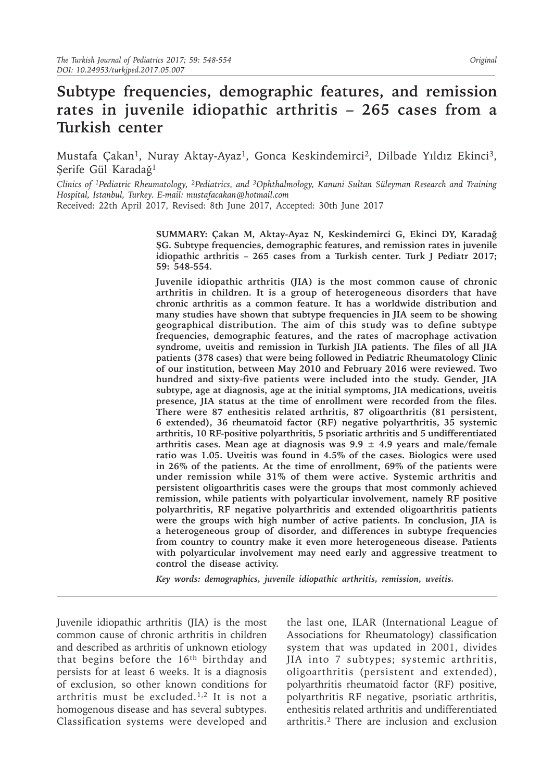# **Subtype frequencies, demographic features, and remission rates in juvenile idiopathic arthritis – 265 cases from a Turkish center**

Mustafa Çakan<sup>1</sup>, Nuray Aktay-Ayaz<sup>1</sup>, Gonca Keskindemirci<sup>2</sup>, Dilbade Yıldız Ekinci<sup>3</sup>, Şerife Gül Karadağ<sup>1</sup>

*Clinics of <sup>1</sup>Pediatric Rheumatology, 2Pediatrics, and 3Ophthalmology, Kanuni Sultan Süleyman Research and Training Hospital, Istanbul, Turkey. E-mail: mustafacakan@hotmail.com*

Received: 22th April 2017, Revised: 8th June 2017, Accepted: 30th June 2017

**SUMMARY: Çakan M, Aktay-Ayaz N, Keskindemirci G, Ekinci DY, Karadağ ŞG. Subtype frequencies, demographic features, and remission rates in juvenile idiopathic arthritis – 265 cases from a Turkish center. Turk J Pediatr 2017; 59: 548-554.** 

**Juvenile idiopathic arthritis (JIA) is the most common cause of chronic arthritis in children. It is a group of heterogeneous disorders that have chronic arthritis as a common feature. It has a worldwide distribution and many studies have shown that subtype frequencies in JIA seem to be showing geographical distribution. The aim of this study was to define subtype frequencies, demographic features, and the rates of macrophage activation syndrome, uveitis and remission in Turkish JIA patients. The files of all JIA patients (378 cases) that were being followed in Pediatric Rheumatology Clinic of our institution, between May 2010 and February 2016 were reviewed. Two hundred and sixty-five patients were included into the study. Gender, JIA subtype, age at diagnosis, age at the initial symptoms, JIA medications, uveitis presence, JIA status at the time of enrollment were recorded from the files. There were 87 enthesitis related arthritis, 87 oligoarthritis (81 persistent, 6 extended), 36 rheumatoid factor (RF) negative polyarthritis, 35 systemic arthritis, 10 RF-positive polyarthritis, 5 psoriatic arthritis and 5 undifferentiated arthritis cases. Mean age at diagnosis was 9.9 ± 4.9 years and male/female ratio was 1.05. Uveitis was found in 4.5% of the cases. Biologics were used in 26% of the patients. At the time of enrollment, 69% of the patients were under remission while 31% of them were active. Systemic arthritis and persistent oligoarthritis cases were the groups that most commonly achieved remission, while patients with polyarticular involvement, namely RF positive polyarthritis, RF negative polyarthritis and extended oligoarthritis patients were the groups with high number of active patients. In conclusion, JIA is a heterogeneous group of disorder, and differences in subtype frequencies from country to country make it even more heterogeneous disease. Patients with polyarticular involvement may need early and aggressive treatment to control the disease activity.**

*Key words: demographics, juvenile idiopathic arthritis, remission, uveitis.*

Juvenile idiopathic arthritis (JIA) is the most common cause of chronic arthritis in children and described as arthritis of unknown etiology that begins before the 16<sup>th</sup> birthday and persists for at least 6 weeks. It is a diagnosis of exclusion, so other known conditions for arthritis must be excluded.<sup>1,2</sup> It is not a homogenous disease and has several subtypes. Classification systems were developed and

the last one, ILAR (International League of Associations for Rheumatology) classification system that was updated in 2001, divides JIA into 7 subtypes; systemic arthritis, oligoarthritis (persistent and extended), polyarthritis rheumatoid factor (RF) positive, polyarthritis RF negative, psoriatic arthritis, enthesitis related arthritis and undifferentiated arthritis.2 There are inclusion and exclusion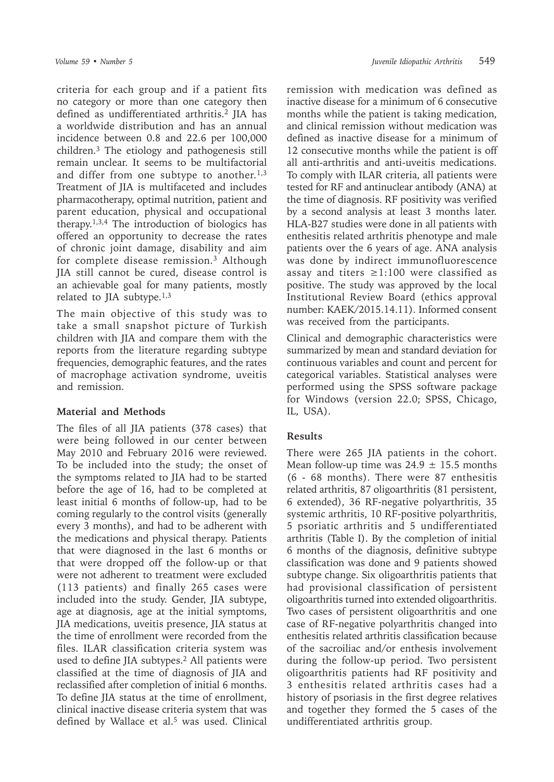criteria for each group and if a patient fits no category or more than one category then defined as undifferentiated arthritis.<sup>2</sup> JIA has a worldwide distribution and has an annual incidence between 0.8 and 22.6 per 100,000 children.3 The etiology and pathogenesis still remain unclear. It seems to be multifactorial and differ from one subtype to another.<sup>1,3</sup> Treatment of JIA is multifaceted and includes pharmacotherapy, optimal nutrition, patient and parent education, physical and occupational therapy.1,3,4 The introduction of biologics has offered an opportunity to decrease the rates of chronic joint damage, disability and aim for complete disease remission.3 Although JIA still cannot be cured, disease control is an achievable goal for many patients, mostly related to JIA subtype. $1,3$ 

The main objective of this study was to take a small snapshot picture of Turkish children with JIA and compare them with the reports from the literature regarding subtype frequencies, demographic features, and the rates of macrophage activation syndrome, uveitis and remission.

### **Material and Methods**

The files of all JIA patients (378 cases) that were being followed in our center between May 2010 and February 2016 were reviewed. To be included into the study; the onset of the symptoms related to JIA had to be started before the age of 16, had to be completed at least initial 6 months of follow-up, had to be coming regularly to the control visits (generally every 3 months), and had to be adherent with the medications and physical therapy. Patients that were diagnosed in the last 6 months or that were dropped off the follow-up or that were not adherent to treatment were excluded (113 patients) and finally 265 cases were included into the study. Gender, JIA subtype, age at diagnosis, age at the initial symptoms, JIA medications, uveitis presence, JIA status at the time of enrollment were recorded from the files. ILAR classification criteria system was used to define JIA subtypes.2 All patients were classified at the time of diagnosis of JIA and reclassified after completion of initial 6 months. To define JIA status at the time of enrollment, clinical inactive disease criteria system that was defined by Wallace et al.<sup>5</sup> was used. Clinical

remission with medication was defined as inactive disease for a minimum of 6 consecutive months while the patient is taking medication, and clinical remission without medication was defined as inactive disease for a minimum of 12 consecutive months while the patient is off all anti-arthritis and anti-uveitis medications. To comply with ILAR criteria, all patients were tested for RF and antinuclear antibody (ANA) at the time of diagnosis. RF positivity was verified by a second analysis at least 3 months later. HLA-B27 studies were done in all patients with enthesitis related arthritis phenotype and male patients over the 6 years of age. ANA analysis was done by indirect immunofluorescence assay and titers  $\ge$ 1:100 were classified as positive. The study was approved by the local Institutional Review Board (ethics approval number: KAEK/2015.14.11). Informed consent was received from the participants.

Clinical and demographic characteristics were summarized by mean and standard deviation for continuous variables and count and percent for categorical variables. Statistical analyses were performed using the SPSS software package for Windows (version 22.0; SPSS, Chicago, IL, USA).

# **Results**

There were 265 JIA patients in the cohort. Mean follow-up time was  $24.9 \pm 15.5$  months (6 - 68 months). There were 87 enthesitis related arthritis, 87 oligoarthritis (81 persistent, 6 extended), 36 RF-negative polyarthritis, 35 systemic arthritis, 10 RF-positive polyarthritis, 5 psoriatic arthritis and 5 undifferentiated arthritis (Table I). By the completion of initial 6 months of the diagnosis, definitive subtype classification was done and 9 patients showed subtype change. Six oligoarthritis patients that had provisional classification of persistent oligoarthritis turned into extended oligoarthritis. Two cases of persistent oligoarthritis and one case of RF-negative polyarthritis changed into enthesitis related arthritis classification because of the sacroiliac and/or enthesis involvement during the follow-up period. Two persistent oligoarthritis patients had RF positivity and 3 enthesitis related arthritis cases had a history of psoriasis in the first degree relatives and together they formed the 5 cases of the undifferentiated arthritis group.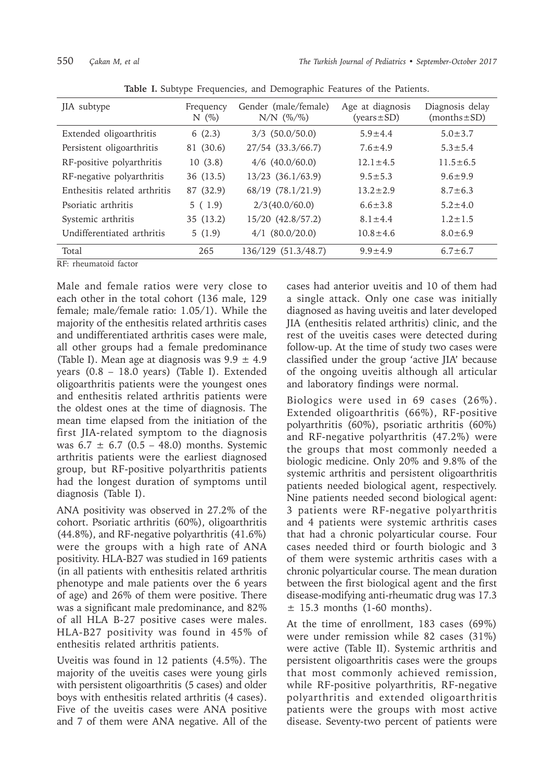| JIA subtype                  | Frequency<br>N(%) | Gender (male/female)<br>$N/N$ (%/%) | Age at diagnosis<br>$(years \pm SD)$ | Diagnosis delay<br>$(months \pm SD)$ |
|------------------------------|-------------------|-------------------------------------|--------------------------------------|--------------------------------------|
| Extended oligoarthritis      | 6(2.3)            | $3/3$ (50.0/50.0)                   | $5.9 \pm 4.4$                        | $5.0 \pm 3.7$                        |
| Persistent oligoarthritis    | 81 (30.6)         | 27/54 (33.3/66.7)                   | $7.6 + 4.9$                          | $5.3 \pm 5.4$                        |
| RF-positive polyarthritis    | 10(3.8)           | $4/6$ (40.0/60.0)                   | $12.1 \pm 4.5$                       | $11.5 + 6.5$                         |
| RF-negative polyarthritis    | 36 (13.5)         | $13/23$ $(36.1/63.9)$               | $9.5 \pm 5.3$                        | $9.6 + 9.9$                          |
| Enthesitis related arthritis | 87 (32.9)         | 68/19 (78.1/21.9)                   | $13.2 + 2.9$                         | $8.7 \pm 6.3$                        |
| Psoriatic arthritis          | 5(1.9)            | 2/3(40.0/60.0)                      | $6.6 \pm 3.8$                        | $5.2 \pm 4.0$                        |
| Systemic arthritis           | 35 (13.2)         | $15/20$ $(42.8/57.2)$               | $8.1 \pm 4.4$                        | $1.2 \pm 1.5$                        |
| Undifferentiated arthritis   | 5(1.9)            | $4/1$ (80.0/20.0)                   | $10.8 + 4.6$                         | $8.0 \pm 6.9$                        |
| Total                        | 265               | 136/129 (51.3/48.7)                 | $9.9 + 4.9$                          | $6.7 \pm 6.7$                        |

**Table I.** Subtype Frequencies, and Demographic Features of the Patients.

RF: rheumatoid factor

Male and female ratios were very close to each other in the total cohort (136 male, 129 female; male/female ratio: 1.05/1). While the majority of the enthesitis related arthritis cases and undifferentiated arthritis cases were male, all other groups had a female predominance (Table I). Mean age at diagnosis was  $9.9 \pm 4.9$ years (0.8 – 18.0 years) (Table I). Extended oligoarthritis patients were the youngest ones and enthesitis related arthritis patients were the oldest ones at the time of diagnosis. The mean time elapsed from the initiation of the first JIA-related symptom to the diagnosis was  $6.7 \pm 6.7$  (0.5 – 48.0) months. Systemic arthritis patients were the earliest diagnosed group, but RF-positive polyarthritis patients had the longest duration of symptoms until diagnosis (Table I).

ANA positivity was observed in 27.2% of the cohort. Psoriatic arthritis (60%), oligoarthritis (44.8%), and RF-negative polyarthritis (41.6%) were the groups with a high rate of ANA positivity. HLA-B27 was studied in 169 patients (in all patients with enthesitis related arthritis phenotype and male patients over the 6 years of age) and 26% of them were positive. There was a significant male predominance, and 82% of all HLA B-27 positive cases were males. HLA-B27 positivity was found in 45% of enthesitis related arthritis patients.

Uveitis was found in 12 patients (4.5%). The majority of the uveitis cases were young girls with persistent oligoarthritis (5 cases) and older boys with enthesitis related arthritis (4 cases). Five of the uveitis cases were ANA positive and 7 of them were ANA negative. All of the cases had anterior uveitis and 10 of them had a single attack. Only one case was initially diagnosed as having uveitis and later developed JIA (enthesitis related arthritis) clinic, and the rest of the uveitis cases were detected during follow-up. At the time of study two cases were classified under the group 'active JIA' because of the ongoing uveitis although all articular and laboratory findings were normal.

Biologics were used in 69 cases (26%). Extended oligoarthritis (66%), RF-positive polyarthritis (60%), psoriatic arthritis (60%) and RF-negative polyarthritis (47.2%) were the groups that most commonly needed a biologic medicine. Only 20% and 9.8% of the systemic arthritis and persistent oligoarthritis patients needed biological agent, respectively. Nine patients needed second biological agent: 3 patients were RF-negative polyarthritis and 4 patients were systemic arthritis cases that had a chronic polyarticular course. Four cases needed third or fourth biologic and 3 of them were systemic arthritis cases with a chronic polyarticular course. The mean duration between the first biological agent and the first disease-modifying anti-rheumatic drug was 17.3  $\pm$  15.3 months (1-60 months).

At the time of enrollment, 183 cases (69%) were under remission while 82 cases (31%) were active (Table II). Systemic arthritis and persistent oligoarthritis cases were the groups that most commonly achieved remission, while RF-positive polyarthritis, RF-negative polyarthritis and extended oligoarthritis patients were the groups with most active disease. Seventy-two percent of patients were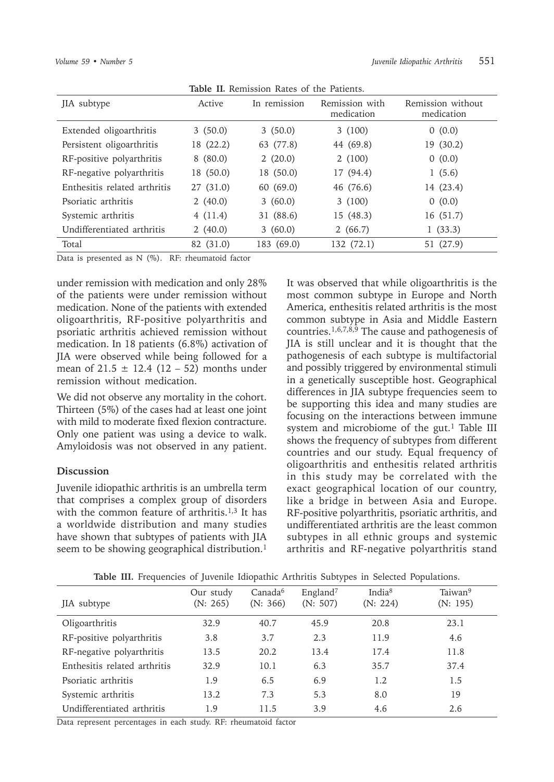| JIA subtype                  | Active    | In remission | Remission with<br>medication | Remission without<br>medication |
|------------------------------|-----------|--------------|------------------------------|---------------------------------|
| Extended oligoarthritis      | 3(50.0)   | 3(50.0)      | 3(100)                       | 0(0.0)                          |
| Persistent oligoarthritis    | 18 (22.2) | 63 (77.8)    | 44 (69.8)                    | 19 (30.2)                       |
| RF-positive polyarthritis    | 8(80.0)   | 2(20.0)      | 2(100)                       | 0(0.0)                          |
| RF-negative polyarthritis    | 18 (50.0) | 18 (50.0)    | 17 (94.4)                    | 1(5.6)                          |
| Enthesitis related arthritis | 27 (31.0) | 60 (69.0)    | 46 (76.6)                    | 14 (23.4)                       |
| Psoriatic arthritis          | 2(40.0)   | 3(60.0)      | 3(100)                       | 0(0.0)                          |
| Systemic arthritis           | 4(11.4)   | 31 (88.6)    | 15(48.3)                     | 16 (51.7)                       |
| Undifferentiated arthritis   | 2(40.0)   | 3(60.0)      | 2(66.7)                      | 1(33.3)                         |
| Total                        | 82 (31.0) | 183 (69.0)   | 132 (72.1)                   | 51 (27.9)                       |

**Table II***.* Remission Rates of the Patients.

Data is presented as N (%). RF: rheumatoid factor

under remission with medication and only 28% of the patients were under remission without medication. None of the patients with extended oligoarthritis, RF-positive polyarthritis and psoriatic arthritis achieved remission without medication. In 18 patients (6.8%) activation of JIA were observed while being followed for a mean of  $21.5 \pm 12.4$  (12 – 52) months under remission without medication.

We did not observe any mortality in the cohort. Thirteen (5%) of the cases had at least one joint with mild to moderate fixed flexion contracture. Only one patient was using a device to walk. Amyloidosis was not observed in any patient.

#### **Discussion**

Juvenile idiopathic arthritis is an umbrella term that comprises a complex group of disorders with the common feature of arthritis.<sup>1,3</sup> It has a worldwide distribution and many studies have shown that subtypes of patients with JIA seem to be showing geographical distribution.<sup>1</sup> It was observed that while oligoarthritis is the most common subtype in Europe and North America, enthesitis related arthritis is the most common subtype in Asia and Middle Eastern countries.1,6,7,8,9 The cause and pathogenesis of JIA is still unclear and it is thought that the pathogenesis of each subtype is multifactorial and possibly triggered by environmental stimuli in a genetically susceptible host. Geographical differences in JIA subtype frequencies seem to be supporting this idea and many studies are focusing on the interactions between immune system and microbiome of the gut.<sup>1</sup> Table III shows the frequency of subtypes from different countries and our study. Equal frequency of oligoarthritis and enthesitis related arthritis in this study may be correlated with the exact geographical location of our country, like a bridge in between Asia and Europe. RF-positive polyarthritis, psoriatic arthritis, and undifferentiated arthritis are the least common subtypes in all ethnic groups and systemic arthritis and RF-negative polyarthritis stand

| JIA subtype                  | Our study<br>(N: 265) | Canada <sup>6</sup><br>(N: 366) | England <sup>7</sup><br>(N: 507) | India <sup>8</sup><br>(N: 224) | Taiwan <sup>9</sup><br>(N: 195) |
|------------------------------|-----------------------|---------------------------------|----------------------------------|--------------------------------|---------------------------------|
| Oligoarthritis               | 32.9                  | 40.7                            | 45.9                             | 20.8                           | 23.1                            |
| RF-positive polyarthritis    | 3.8                   | 3.7                             | 2.3                              | 11.9                           | 4.6                             |
| RF-negative polyarthritis    | 13.5                  | 20.2                            | 13.4                             | 17.4                           | 11.8                            |
| Enthesitis related arthritis | 32.9                  | 10.1                            | 6.3                              | 35.7                           | 37.4                            |
| Psoriatic arthritis          | 1.9                   | 6.5                             | 6.9                              | 1.2                            | 1.5                             |
| Systemic arthritis           | 13.2                  | 7.3                             | 5.3                              | 8.0                            | 19                              |
| Undifferentiated arthritis   | 1.9                   | 11.5                            | 3.9                              | 4.6                            | 2.6                             |

**Table III.** Frequencies of Juvenile Idiopathic Arthritis Subtypes in Selected Populations.

Data represent percentages in each study. RF: rheumatoid factor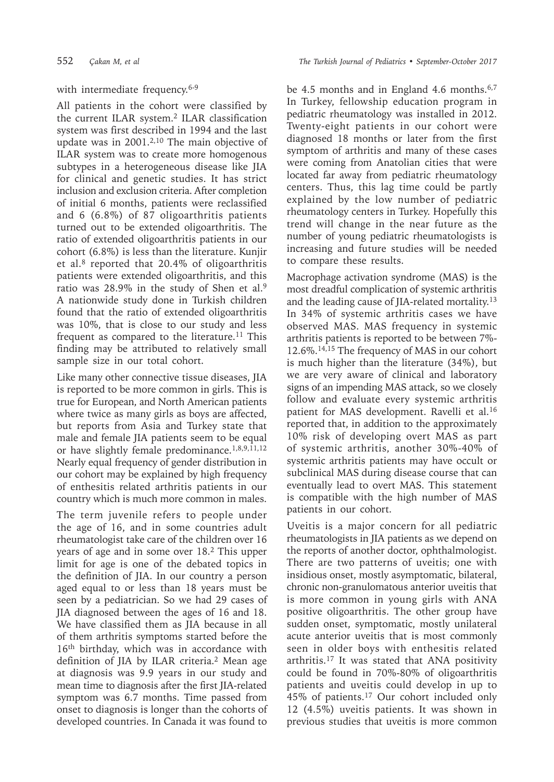# with intermediate frequency.<sup>6-9</sup>

All patients in the cohort were classified by the current ILAR system.2 ILAR classification system was first described in 1994 and the last update was in 2001.2,10 The main objective of ILAR system was to create more homogenous subtypes in a heterogeneous disease like JIA for clinical and genetic studies. It has strict inclusion and exclusion criteria. After completion of initial 6 months, patients were reclassified and 6 (6.8%) of 87 oligoarthritis patients turned out to be extended oligoarthritis. The ratio of extended oligoarthritis patients in our cohort (6.8%) is less than the literature. Kunjir et al.8 reported that 20.4% of oligoarthritis patients were extended oligoarthritis, and this ratio was 28.9% in the study of Shen et al.<sup>9</sup> A nationwide study done in Turkish children found that the ratio of extended oligoarthritis was 10%, that is close to our study and less frequent as compared to the literature.<sup>11</sup> This finding may be attributed to relatively small sample size in our total cohort.

Like many other connective tissue diseases, JIA is reported to be more common in girls. This is true for European, and North American patients where twice as many girls as boys are affected, but reports from Asia and Turkey state that male and female JIA patients seem to be equal or have slightly female predominance.<sup>1,8,9,11,12</sup> Nearly equal frequency of gender distribution in our cohort may be explained by high frequency of enthesitis related arthritis patients in our country which is much more common in males.

The term juvenile refers to people under the age of 16, and in some countries adult rheumatologist take care of the children over 16 years of age and in some over 18.2 This upper limit for age is one of the debated topics in the definition of JIA. In our country a person aged equal to or less than 18 years must be seen by a pediatrician. So we had 29 cases of JIA diagnosed between the ages of 16 and 18. We have classified them as JIA because in all of them arthritis symptoms started before the 16<sup>th</sup> birthday, which was in accordance with definition of JIA by ILAR criteria.2 Mean age at diagnosis was 9.9 years in our study and mean time to diagnosis after the first JIA-related symptom was 6.7 months. Time passed from onset to diagnosis is longer than the cohorts of developed countries. In Canada it was found to

be 4.5 months and in England 4.6 months.<sup>6,7</sup> In Turkey, fellowship education program in pediatric rheumatology was installed in 2012. Twenty-eight patients in our cohort were diagnosed 18 months or later from the first symptom of arthritis and many of these cases were coming from Anatolian cities that were located far away from pediatric rheumatology centers. Thus, this lag time could be partly explained by the low number of pediatric rheumatology centers in Turkey. Hopefully this trend will change in the near future as the number of young pediatric rheumatologists is increasing and future studies will be needed to compare these results.

Macrophage activation syndrome (MAS) is the most dreadful complication of systemic arthritis and the leading cause of JIA-related mortality.13 In 34% of systemic arthritis cases we have observed MAS. MAS frequency in systemic arthritis patients is reported to be between 7%- 12.6%.14,15 The frequency of MAS in our cohort is much higher than the literature (34%), but we are very aware of clinical and laboratory signs of an impending MAS attack, so we closely follow and evaluate every systemic arthritis patient for MAS development. Ravelli et al.<sup>16</sup> reported that, in addition to the approximately 10% risk of developing overt MAS as part of systemic arthritis, another 30%-40% of systemic arthritis patients may have occult or subclinical MAS during disease course that can eventually lead to overt MAS. This statement is compatible with the high number of MAS patients in our cohort.

Uveitis is a major concern for all pediatric rheumatologists in JIA patients as we depend on the reports of another doctor, ophthalmologist. There are two patterns of uveitis; one with insidious onset, mostly asymptomatic, bilateral, chronic non-granulomatous anterior uveitis that is more common in young girls with ANA positive oligoarthritis. The other group have sudden onset, symptomatic, mostly unilateral acute anterior uveitis that is most commonly seen in older boys with enthesitis related arthritis.17 It was stated that ANA positivity could be found in 70%-80% of oligoarthritis patients and uveitis could develop in up to 45% of patients.17 Our cohort included only 12 (4.5%) uveitis patients. It was shown in previous studies that uveitis is more common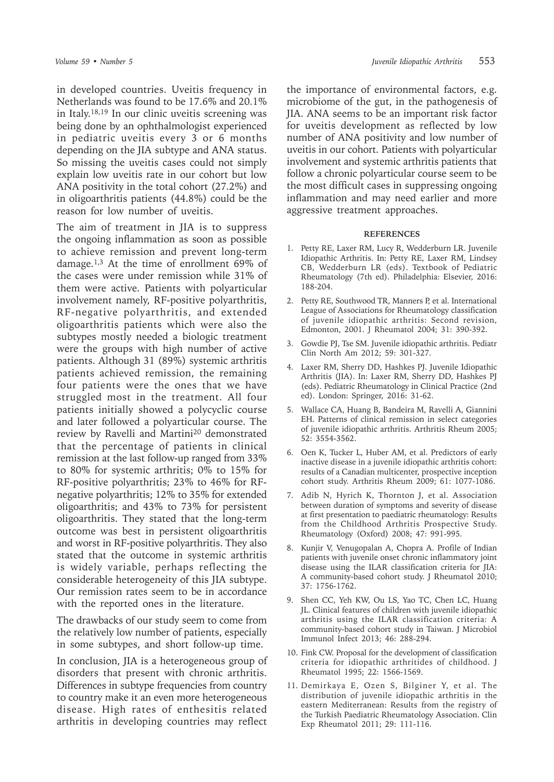in developed countries. Uveitis frequency in Netherlands was found to be 17.6% and 20.1% in Italy.18,19 In our clinic uveitis screening was being done by an ophthalmologist experienced in pediatric uveitis every 3 or 6 months depending on the JIA subtype and ANA status. So missing the uveitis cases could not simply explain low uveitis rate in our cohort but low ANA positivity in the total cohort (27.2%) and in oligoarthritis patients (44.8%) could be the reason for low number of uveitis.

The aim of treatment in JIA is to suppress the ongoing inflammation as soon as possible to achieve remission and prevent long-term damage.1,3 At the time of enrollment 69% of the cases were under remission while 31% of them were active. Patients with polyarticular involvement namely, RF-positive polyarthritis, RF-negative polyarthritis, and extended oligoarthritis patients which were also the subtypes mostly needed a biologic treatment were the groups with high number of active patients. Although 31 (89%) systemic arthritis patients achieved remission, the remaining four patients were the ones that we have struggled most in the treatment. All four patients initially showed a polycyclic course and later followed a polyarticular course. The review by Ravelli and Martini<sup>20</sup> demonstrated that the percentage of patients in clinical remission at the last follow-up ranged from 33% to 80% for systemic arthritis; 0% to 15% for RF-positive polyarthritis; 23% to 46% for RFnegative polyarthritis; 12% to 35% for extended oligoarthritis; and 43% to 73% for persistent oligoarthritis. They stated that the long-term outcome was best in persistent oligoarthritis and worst in RF-positive polyarthritis. They also stated that the outcome in systemic arthritis is widely variable, perhaps reflecting the considerable heterogeneity of this JIA subtype. Our remission rates seem to be in accordance with the reported ones in the literature.

The drawbacks of our study seem to come from the relatively low number of patients, especially in some subtypes, and short follow-up time.

In conclusion, JIA is a heterogeneous group of disorders that present with chronic arthritis. Differences in subtype frequencies from country to country make it an even more heterogeneous disease. High rates of enthesitis related arthritis in developing countries may reflect

the importance of environmental factors, e.g. microbiome of the gut, in the pathogenesis of JIA. ANA seems to be an important risk factor for uveitis development as reflected by low number of ANA positivity and low number of uveitis in our cohort. Patients with polyarticular involvement and systemic arthritis patients that follow a chronic polyarticular course seem to be the most difficult cases in suppressing ongoing inflammation and may need earlier and more aggressive treatment approaches.

#### **REFERENCES**

- 1. Petty RE, Laxer RM, Lucy R, Wedderburn LR. Juvenile Idiopathic Arthritis. In: Petty RE, Laxer RM, Lindsey CB, Wedderburn LR (eds). Textbook of Pediatric Rheumatology (7th ed). Philadelphia: Elsevier, 2016: 188-204.
- 2. Petty RE, Southwood TR, Manners P, et al. International League of Associations for Rheumatology classification of juvenile idiopathic arthritis: Second revision, Edmonton, 2001. J Rheumatol 2004; 31: 390-392.
- 3. Gowdie PJ, Tse SM. Juvenile idiopathic arthritis. Pediatr Clin North Am 2012; 59: 301-327.
- 4. Laxer RM, Sherry DD, Hashkes PJ. Juvenile Idiopathic Arthritis (JIA). In: Laxer RM, Sherry DD, Hashkes PJ (eds). Pediatric Rheumatology in Clinical Practice (2nd ed). London: Springer, 2016: 31-62.
- 5. Wallace CA, Huang B, Bandeira M, Ravelli A, Giannini EH. Patterns of clinical remission in select categories of juvenile idiopathic arthritis. Arthritis Rheum 2005; 52: 3554-3562.
- 6. Oen K, Tucker L, Huber AM, et al. Predictors of early inactive disease in a juvenile idiopathic arthritis cohort: results of a Canadian multicenter, prospective inception cohort study. Arthritis Rheum 2009; 61: 1077-1086.
- 7. Adib N, Hyrich K, Thornton J, et al. Association between duration of symptoms and severity of disease at first presentation to paediatric rheumatology: Results from the Childhood Arthritis Prospective Study. Rheumatology (Oxford) 2008; 47: 991-995.
- 8. Kunjir V, Venugopalan A, Chopra A. Profile of Indian patients with juvenile onset chronic inflammatory joint disease using the ILAR classification criteria for JIA: A community-based cohort study. J Rheumatol 2010; 37: 1756-1762.
- 9. Shen CC, Yeh KW, Ou LS, Yao TC, Chen LC, Huang JL. Clinical features of children with juvenile idiopathic arthritis using the ILAR classification criteria: A community-based cohort study in Taiwan. J Microbiol Immunol Infect 2013; 46: 288-294.
- 10. Fink CW. Proposal for the development of classification criteria for idiopathic arthritides of childhood. J Rheumatol 1995; 22: 1566-1569.
- 11. Demirkaya E, Ozen S, Bilginer Y, et al. The distribution of juvenile idiopathic arthritis in the eastern Mediterranean: Results from the registry of the Turkish Paediatric Rheumatology Association. Clin Exp Rheumatol 2011; 29: 111-116.